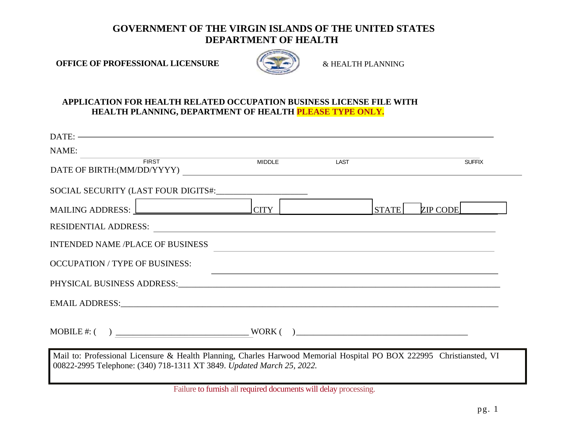## **GOVERNMENT OF THE VIRGIN ISLANDS OF THE UNITED STATES DEPARTMENT OF HEALTH**

**OFFICE OF PROFESSIONAL LICENSURE**  $\&$  HEALTH PLANNING



### **APPLICATION FOR HEALTH RELATED OCCUPATION BUSINESS LICENSE FILE WITH HEALTH PLANNING, DEPARTMENT OF HEALTH PLEASE TYPE ONLY.**

| $\text{DATE:}\n \overbrace{\hspace{2.5cm}}$                                                                                                                                                                                   |                                                                                                                                                                                                                                                                                                                                    |              |               |
|-------------------------------------------------------------------------------------------------------------------------------------------------------------------------------------------------------------------------------|------------------------------------------------------------------------------------------------------------------------------------------------------------------------------------------------------------------------------------------------------------------------------------------------------------------------------------|--------------|---------------|
| NAME:                                                                                                                                                                                                                         |                                                                                                                                                                                                                                                                                                                                    |              |               |
| <b>FIRST</b><br>DATE OF BIRTH:(MM/DD/YYYY)                                                                                                                                                                                    | <b>MIDDLE</b>                                                                                                                                                                                                                                                                                                                      | LAST         | <b>SUFFIX</b> |
|                                                                                                                                                                                                                               |                                                                                                                                                                                                                                                                                                                                    |              |               |
| MAILING ADDRESS: $\Box$                                                                                                                                                                                                       |                                                                                                                                                                                                                                                                                                                                    | <b>STATE</b> | ZIP CODE      |
| RESIDENTIAL ADDRESS:                                                                                                                                                                                                          |                                                                                                                                                                                                                                                                                                                                    |              |               |
| <b>INTENDED NAME /PLACE OF BUSINESS</b>                                                                                                                                                                                       |                                                                                                                                                                                                                                                                                                                                    |              |               |
| <b>OCCUPATION / TYPE OF BUSINESS:</b>                                                                                                                                                                                         |                                                                                                                                                                                                                                                                                                                                    |              |               |
|                                                                                                                                                                                                                               |                                                                                                                                                                                                                                                                                                                                    |              |               |
| EMAIL ADDRESS: North and the second state of the second state of the second state of the second state of the second state of the second state of the second state of the second state of the second state of the second state |                                                                                                                                                                                                                                                                                                                                    |              |               |
| $\text{MOBILE} \#: (\quad) \ \underline{\hspace{2cm}} \text{WORK} \left( \quad) \underline{\hspace{2cm}} \text{WORK} \left( \quad) \right)$                                                                                   |                                                                                                                                                                                                                                                                                                                                    |              |               |
| Mail to: Professional Licensure & Health Planning, Charles Harwood Memorial Hospital PO BOX 222995 Christiansted, VI<br>00822-2995 Telephone: (340) 718-1311 XT 3849. Updated March 25, 2022.                                 |                                                                                                                                                                                                                                                                                                                                    |              |               |
|                                                                                                                                                                                                                               | $\mathbf{F}^{\text{H}}$ $\mathbf{F}$ $\mathbf{F}$ $\mathbf{F}$ $\mathbf{F}$ $\mathbf{F}$ $\mathbf{F}$ $\mathbf{F}$ $\mathbf{F}$ $\mathbf{F}$ $\mathbf{F}$ $\mathbf{F}$ $\mathbf{F}$ $\mathbf{F}$ $\mathbf{F}$ $\mathbf{F}$ $\mathbf{F}$ $\mathbf{F}$ $\mathbf{F}$ $\mathbf{F}$ $\mathbf{F}$ $\mathbf{F}$ $\mathbf{F}$ $\mathbf{F}$ |              |               |

Failure to furnish all required documents will delay processing.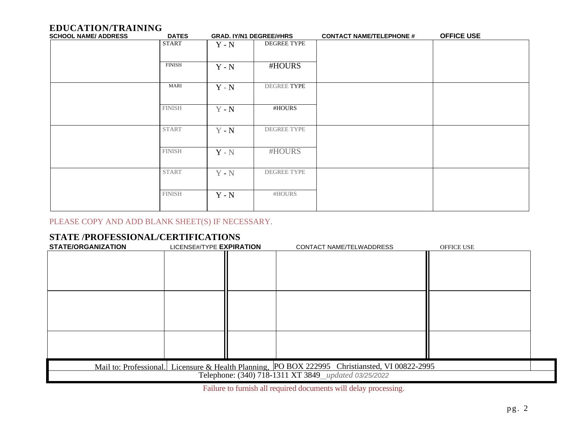# **EDUCATION/TRAINING**

| <b>SCHOOL NAME/ ADDRESS</b> | <b>DATES</b>  | <b>GRAD. IY/N1 DEGREE/#HRS</b> |             | <b>CONTACT NAME/TELEPHONE #</b> | <b>OFFICE USE</b> |
|-----------------------------|---------------|--------------------------------|-------------|---------------------------------|-------------------|
|                             | START         | $Y - N$                        | DEGREE TYPE |                                 |                   |
|                             | <b>FINISH</b> | $Y - N$                        | #HOURS      |                                 |                   |
|                             | MARI          | $Y - N$                        | DEGREE TYPE |                                 |                   |
|                             | <b>FINISH</b> | $Y - N$                        | #HOURS      |                                 |                   |
|                             | <b>START</b>  | $Y - N$                        | DEGREE TYPE |                                 |                   |
|                             | <b>FINISH</b> | $Y - N$                        | #HOURS      |                                 |                   |
|                             | <b>START</b>  | $Y - N$                        | DEGREE TYPE |                                 |                   |
|                             | <b>FINISH</b> | $Y - N$                        | #HOURS      |                                 |                   |

## PLEASE COPY AND ADD BLANK SHEET(S) IF NECESSARY.

## **STATE /PROFESSIONAL/CERTIFICATIONS**

| <b>STATE/ORGANIZATION</b> | LICENSE#/TYPE EXPIRATION | CONTACT NAME/TELWADDRESS                                                                       | OFFICE USE |
|---------------------------|--------------------------|------------------------------------------------------------------------------------------------|------------|
|                           |                          |                                                                                                |            |
|                           |                          |                                                                                                |            |
|                           |                          |                                                                                                |            |
|                           |                          |                                                                                                |            |
|                           |                          |                                                                                                |            |
|                           |                          |                                                                                                |            |
|                           |                          |                                                                                                |            |
|                           |                          |                                                                                                |            |
|                           |                          |                                                                                                |            |
|                           |                          |                                                                                                |            |
|                           |                          |                                                                                                |            |
|                           |                          | Mail to: Professional. Licensure & Health Planning, PO BOX 222995 Christiansted, VI 00822-2995 |            |
|                           |                          | Telephone: (340) 718-1311 XT 3849_updated 03/25/2022                                           |            |

Failure to furnish all required documents will delay processing.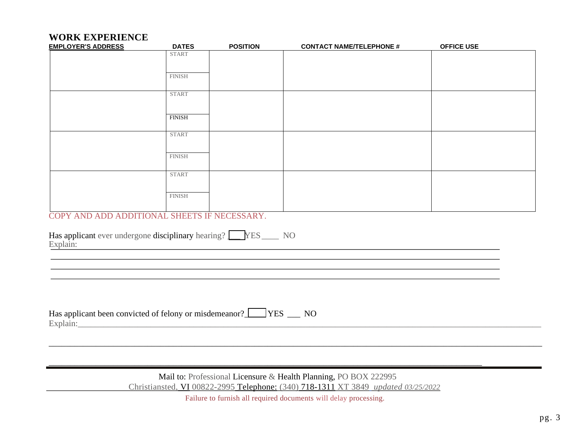# **WORK EXPERIENCE**

| <b>EMPLOYER'S ADDRESS</b>                                                                                                                                                                                                                                                                                                          | <b>DATES</b>  | <b>POSITION</b> | <b>CONTACT NAME/TELEPHONE #</b> | <b>OFFICE USE</b> |
|------------------------------------------------------------------------------------------------------------------------------------------------------------------------------------------------------------------------------------------------------------------------------------------------------------------------------------|---------------|-----------------|---------------------------------|-------------------|
|                                                                                                                                                                                                                                                                                                                                    | <b>START</b>  |                 |                                 |                   |
|                                                                                                                                                                                                                                                                                                                                    |               |                 |                                 |                   |
|                                                                                                                                                                                                                                                                                                                                    | <b>FINISH</b> |                 |                                 |                   |
|                                                                                                                                                                                                                                                                                                                                    | <b>START</b>  |                 |                                 |                   |
|                                                                                                                                                                                                                                                                                                                                    |               |                 |                                 |                   |
|                                                                                                                                                                                                                                                                                                                                    | <b>FINISH</b> |                 |                                 |                   |
|                                                                                                                                                                                                                                                                                                                                    |               |                 |                                 |                   |
|                                                                                                                                                                                                                                                                                                                                    | <b>START</b>  |                 |                                 |                   |
|                                                                                                                                                                                                                                                                                                                                    | <b>FINISH</b> |                 |                                 |                   |
|                                                                                                                                                                                                                                                                                                                                    |               |                 |                                 |                   |
|                                                                                                                                                                                                                                                                                                                                    | <b>START</b>  |                 |                                 |                   |
|                                                                                                                                                                                                                                                                                                                                    |               |                 |                                 |                   |
|                                                                                                                                                                                                                                                                                                                                    | <b>FINISH</b> |                 |                                 |                   |
| COPY AND ADD ADDITIONAL SHEETS IF NECESSARY.                                                                                                                                                                                                                                                                                       |               |                 |                                 |                   |
|                                                                                                                                                                                                                                                                                                                                    |               |                 |                                 |                   |
| $\mathbf{H}$ $\mathbf{H}$ $\mathbf{H}$ $\mathbf{H}$ $\mathbf{H}$ $\mathbf{H}$ $\mathbf{H}$ $\mathbf{H}$ $\mathbf{H}$ $\mathbf{H}$ $\mathbf{H}$ $\mathbf{H}$ $\mathbf{H}$ $\mathbf{H}$ $\mathbf{H}$ $\mathbf{H}$ $\mathbf{H}$ $\mathbf{H}$ $\mathbf{H}$ $\mathbf{H}$ $\mathbf{H}$ $\mathbf{H}$ $\mathbf{H}$ $\mathbf{H}$ $\mathbf{$ |               |                 |                                 |                   |

|          |  |  | Has applicant ever undergone disciplinary hearing? VES | NO |
|----------|--|--|--------------------------------------------------------|----|
| Explain: |  |  |                                                        |    |

| Has applicant been convicted of felony or misdemeanor? | N( |
|--------------------------------------------------------|----|
| $\mathbb{E}$ xplain.                                   |    |

 Mail to: Professional Licensure & Health Planning, PO BOX 222995 Christiansted, VI 00822-2995 Telephone: (340) 718-1311 XT 3849 *updated 03/25/2022*

\_\_\_\_\_\_\_\_\_\_\_\_\_\_\_\_\_\_\_\_\_\_\_\_\_\_\_\_\_\_\_\_\_\_\_\_\_\_\_\_\_\_\_\_\_\_\_\_\_\_\_\_\_\_\_\_\_\_\_\_\_\_\_\_\_\_\_\_\_\_\_\_\_\_\_\_\_\_\_\_\_\_\_\_\_\_\_\_\_\_\_\_\_\_\_\_\_\_\_\_\_

\_\_\_\_\_\_\_\_\_\_\_\_\_\_\_\_\_\_\_\_\_\_\_\_\_\_\_\_\_\_\_\_\_\_\_\_\_\_\_\_\_\_\_\_\_\_\_\_\_\_\_\_\_\_\_\_\_\_\_\_\_\_\_\_\_\_\_\_\_\_\_\_\_\_\_\_\_\_\_\_\_\_\_\_\_\_\_\_\_\_\_\_\_\_\_\_\_\_\_\_\_\_\_\_\_\_\_\_\_\_\_\_\_\_\_

Failure to furnish all required documents will delay processing.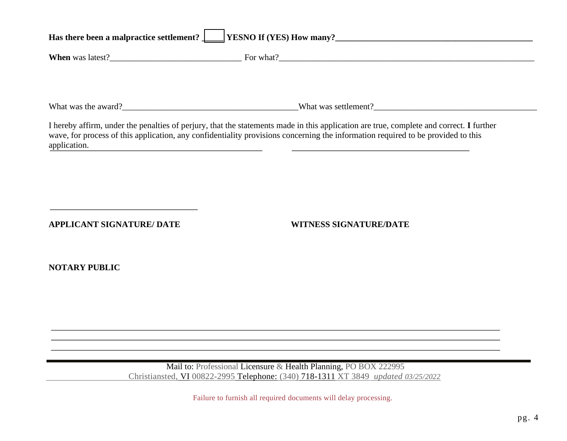| Has there been a malpractice settlement? VESNO If (YES) How many?                                         |                                                                                                                                                                                                                                                                                                                                                                |  |  |  |
|-----------------------------------------------------------------------------------------------------------|----------------------------------------------------------------------------------------------------------------------------------------------------------------------------------------------------------------------------------------------------------------------------------------------------------------------------------------------------------------|--|--|--|
|                                                                                                           |                                                                                                                                                                                                                                                                                                                                                                |  |  |  |
|                                                                                                           |                                                                                                                                                                                                                                                                                                                                                                |  |  |  |
|                                                                                                           |                                                                                                                                                                                                                                                                                                                                                                |  |  |  |
| application.<br>the control of the control of the control of the control of the control of the control of | I hereby affirm, under the penalties of perjury, that the statements made in this application are true, complete and correct. I further<br>wave, for process of this application, any confidentiality provisions concerning the information required to be provided to this<br>the contract of the contract of the contract of the contract of the contract of |  |  |  |
|                                                                                                           |                                                                                                                                                                                                                                                                                                                                                                |  |  |  |
|                                                                                                           |                                                                                                                                                                                                                                                                                                                                                                |  |  |  |
| <b>APPLICANT SIGNATURE/ DATE</b>                                                                          | <b>WITNESS SIGNATURE/DATE</b>                                                                                                                                                                                                                                                                                                                                  |  |  |  |
| <b>NOTARY PUBLIC</b>                                                                                      |                                                                                                                                                                                                                                                                                                                                                                |  |  |  |
|                                                                                                           |                                                                                                                                                                                                                                                                                                                                                                |  |  |  |
|                                                                                                           |                                                                                                                                                                                                                                                                                                                                                                |  |  |  |
|                                                                                                           |                                                                                                                                                                                                                                                                                                                                                                |  |  |  |
|                                                                                                           | Mail to: Professional Licensure & Health Planning, PO BOX 222995<br>Christiansted, VI 00822-2995 Telephone: (340) 718-1311 XT 3849 updated 03/25/2022                                                                                                                                                                                                          |  |  |  |
|                                                                                                           | Failure to furnish all required documents will delay processing.                                                                                                                                                                                                                                                                                               |  |  |  |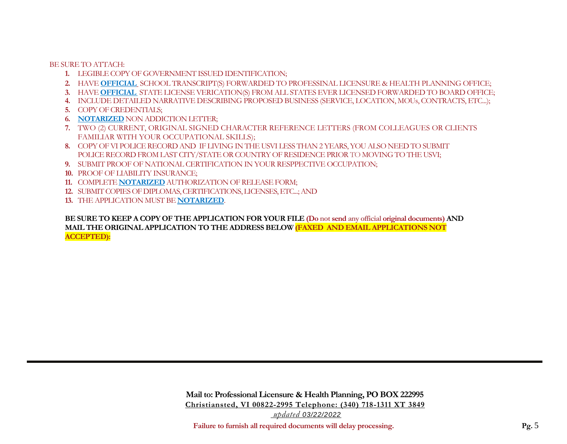BE SURE TO ATTACH:

- **1.** LEGIBLE COPY OF GOVERNMENT ISSUED IDENTIFICATION;
- **2.** HAVE **OFFICIAL** SCHOOL TRANSCRIPT(S) FORWARDED TO PROFESSINAL LICENSURE & HEALTH PLANNING OFFICE;
- **3.** HAVE **OFFICIAL** STATE LICENSE VERICATION(S) FROM ALL STATES EVER LICENSED FORWARDED TO BOARD OFFICE;
- **4.** INCLUDE DETAILED NARRATIVE DESCRIBING PROPOSED BUSINESS (SERVICE, LOCATION, MOUs, CONTRACTS, ETC...);
- **5.** COPY OF CREDENTIALS;
- **6. NOTARIZED** NON ADDICTION LETTER;
- **7.** TWO (2) CURRENT, ORIGINAL SIGNED CHARACTER REFERENCE LETTERS (FROM COLLEAGUES OR CLIENTS FAMILIAR WITH YOUR OCCUPATIONAL SKILLS);
- **8.** COPY OF VI POLICE RECORD AND IF LIVING IN THE USVI LESS THAN 2 YEARS,YOU ALSO NEED TO SUBMIT POLICE RECORD FROM LAST CITY/STATE OR COUNTRY OF RESIDENCE PRIOR TO MOVING TO THE USVI;
- **9.** SUBMIT PROOF OF NATIONAL CERTIFICATION IN YOUR RESPPECTIVE OCCUPATION;
- **10.** PROOF OF LIABILITY INSURANCE;
- **11.** COMPLETE **NOTARIZED** AUTHORIZATION OF RELEASE FORM;
- **12.** SUBMIT COPIES OF DIPLOMAS, CERTIFICATIONS, LICENSES, ETC...; AND
- **13.** THE APPLICATION MUST BE **NOTARIZED**.

**BE SURE TO KEEP A COPY OF THE APPLICATION FOR YOUR FILE (Do not send any official original documents) AND MAIL THE ORIGINAL APPLICATION TO THE ADDRESS BELOW (FAXED AND EMAIL APPLICATIONS NOT ACCEPTED):**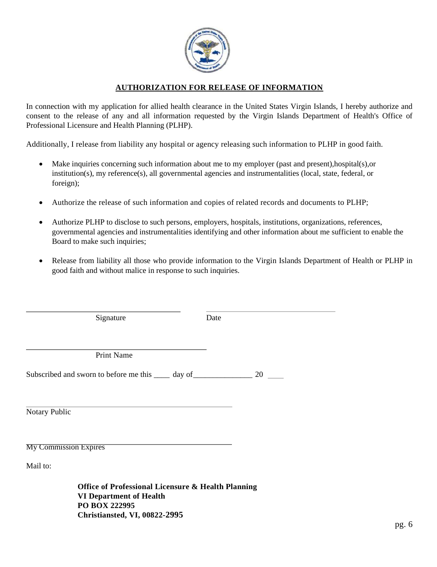

### **AUTHORIZATION FOR RELEASE OF INFORMATION**

In connection with my application for allied health clearance in the United States Virgin Islands, I hereby authorize and consent to the release of any and all information requested by the Virgin Islands Department of Health's Office of Professional Licensure and Health Planning (PLHP).

Additionally, I release from liability any hospital or agency releasing such information to PLHP in good faith.

- Make inquiries concerning such information about me to my employer (past and present),hospital(s),or institution(s), my reference(s), all governmental agencies and instrumentalities (local, state, federal, or foreign);
- Authorize the release of such information and copies of related records and documents to PLHP;
- Authorize PLHP to disclose to such persons, employers, hospitals, institutions, organizations, references, governmental agencies and instrumentalities identifying and other information about me sufficient to enable the Board to make such inquiries;
- Release from liability all those who provide information to the Virgin Islands Department of Health or PLHP in good faith and without malice in response to such inquiries.

| Signature                                                                                                                                                                                       | Date |
|-------------------------------------------------------------------------------------------------------------------------------------------------------------------------------------------------|------|
|                                                                                                                                                                                                 |      |
| <b>Print Name</b>                                                                                                                                                                               |      |
| Subscribed and sworn to before me this $\frac{1}{2}$ day of $\frac{1}{2}$ 20                                                                                                                    |      |
|                                                                                                                                                                                                 |      |
|                                                                                                                                                                                                 |      |
| Notary Public                                                                                                                                                                                   |      |
|                                                                                                                                                                                                 |      |
| <b>My Commission Expires</b>                                                                                                                                                                    |      |
| Mail to:                                                                                                                                                                                        |      |
| $\mathbf{r}$ $\mathbf{r}$ $\mathbf{r}$ $\mathbf{r}$ $\mathbf{r}$ $\mathbf{r}$ $\mathbf{r}$ $\mathbf{r}$ $\mathbf{r}$ $\mathbf{r}$ $\mathbf{r}$ $\mathbf{r}$ $\mathbf{r}$<br>$\bigcap$ $\bigcap$ |      |

**Office of Professional Licensure & Health Planning VI Department of Health PO BOX 222995 Christiansted, VI, 00822-2995**